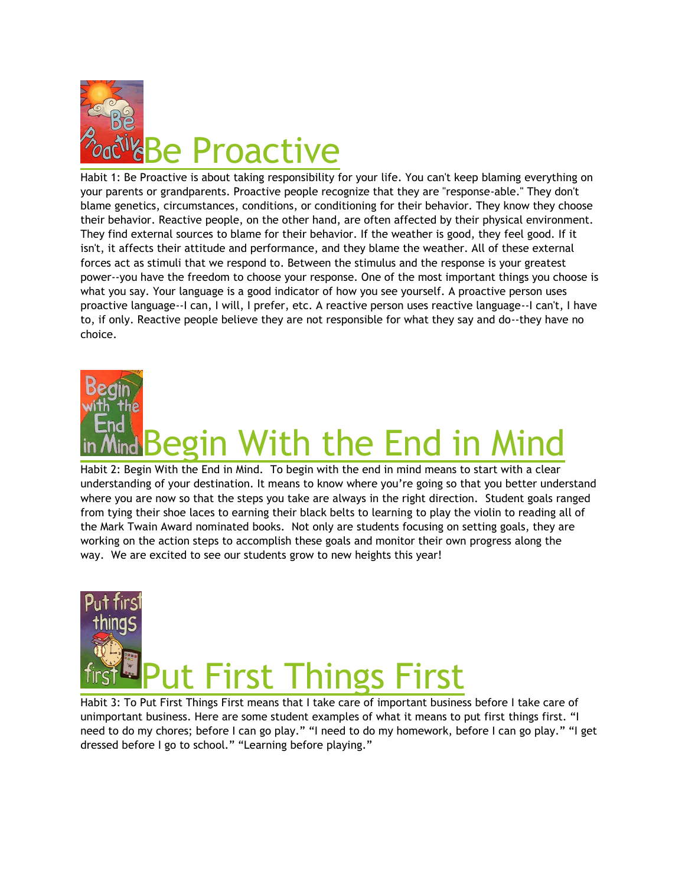

Habit 1: Be Proactive is about taking responsibility for your life. You can't keep blaming everything on your parents or grandparents. Proactive people recognize that they are "response-able." They don't blame genetics, circumstances, conditions, or conditioning for their behavior. They know they choose their behavior. Reactive people, on the other hand, are often affected by their physical environment. They find external sources to blame for their behavior. If the weather is good, they feel good. If it isn't, it affects their attitude and performance, and they blame the weather. All of these external forces act as stimuli that we respond to. Between the stimulus and the response is your greatest power--you have the freedom to choose your response. One of the most important things you choose is what you say. Your language is a good indicator of how you see yourself. A proactive person uses proactive language--I can, I will, I prefer, etc. A reactive person uses reactive language--I can't, I have to, if only. Reactive people believe they are not responsible for what they say and do--they have no choice.

## With the End in **N**

Habit 2: Begin With the End in Mind. To begin with the end in mind means to start with a clear understanding of your destination. It means to know where you're going so that you better understand where you are now so that the steps you take are always in the right direction. Student goals ranged from tying their shoe laces to earning their black belts to learning to play the violin to reading all of the Mark Twain Award nominated books. Not only are students focusing on setting goals, they are working on the action steps to accomplish these goals and monitor their own progress along the way. We are excited to see our students grow to new heights this year!

## It First Things First

Habit 3: To Put First Things First means that I take care of important business before I take care of unimportant business. Here are some student examples of what it means to put first things first. "I need to do my chores; before I can go play." "I need to do my homework, before I can go play." "I get dressed before I go to school." "Learning before playing."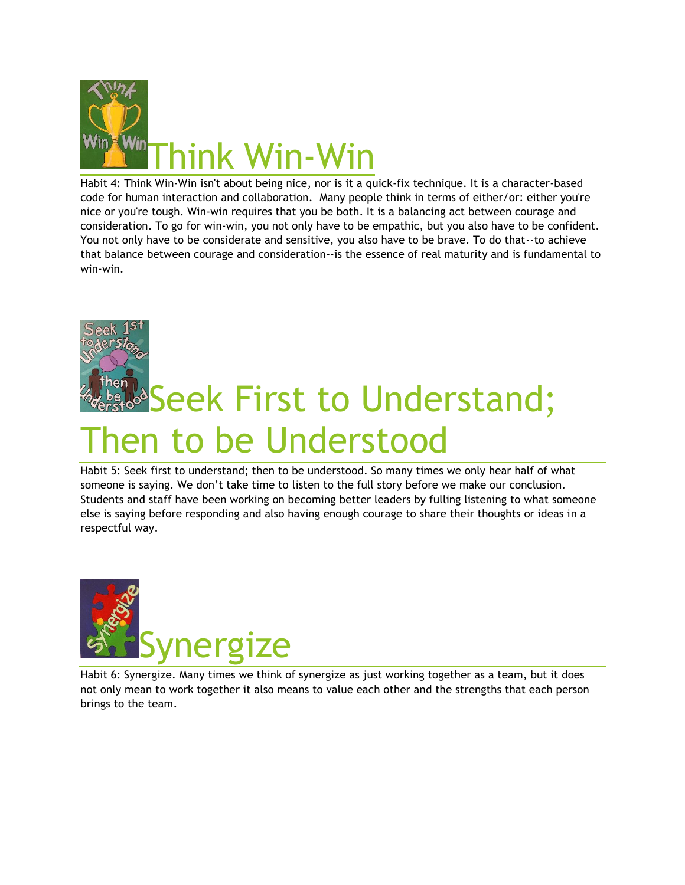

Habit 4: Think Win-Win isn't about being nice, nor is it a quick-fix technique. It is a character-based code for human interaction and collaboration. Many people think in terms of either/or: either you're nice or you're tough. Win-win requires that you be both. It is a balancing act between courage and consideration. To go for win-win, you not only have to be empathic, but you also have to be confident. You not only have to be considerate and sensitive, you also have to be brave. To do that--to achieve that balance between courage and consideration--is the essence of real maturity and is fundamental to win-win.

## nen **Seek First to Understand;** nen to be Understood

Habit 5: Seek first to understand; then to be understood. So many times we only hear half of what someone is saying. We don't take time to listen to the full story before we make our conclusion. Students and staff have been working on becoming better leaders by fulling listening to what someone else is saying before responding and also having enough courage to share their thoughts or ideas in a respectful way.



Habit 6: Synergize. Many times we think of synergize as just working together as a team, but it does not only mean to work together it also means to value each other and the strengths that each person brings to the team.